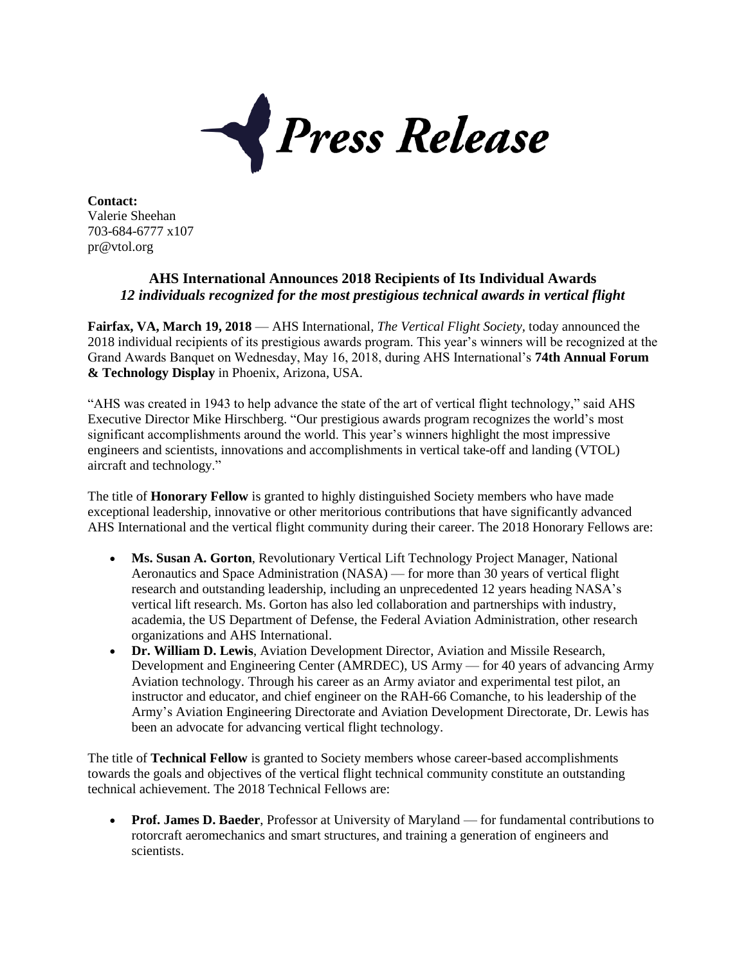

**Contact:** Valerie Sheehan 703-684-6777 x107 pr@vtol.org

## **AHS International Announces 2018 Recipients of Its Individual Awards** *12 individuals recognized for the most prestigious technical awards in vertical flight*

**Fairfax, VA, March 19, 2018** — AHS International, *The Vertical Flight Society,* today announced the 2018 individual recipients of its prestigious awards program. This year's winners will be recognized at the Grand Awards Banquet on Wednesday, May 16, 2018, during AHS International's **74th Annual Forum & Technology Display** in Phoenix, Arizona, USA.

"AHS was created in 1943 to help advance the state of the art of vertical flight technology," said AHS Executive Director Mike Hirschberg. "Our prestigious awards program recognizes the world's most significant accomplishments around the world. This year's winners highlight the most impressive engineers and scientists, innovations and accomplishments in vertical take-off and landing (VTOL) aircraft and technology."

The title of **Honorary Fellow** is granted to highly distinguished Society members who have made exceptional leadership, innovative or other meritorious contributions that have significantly advanced AHS International and the vertical flight community during their career. The 2018 Honorary Fellows are:

- **Ms. Susan A. Gorton**, Revolutionary Vertical Lift Technology Project Manager, National Aeronautics and Space Administration (NASA) — for more than 30 years of vertical flight research and outstanding leadership, including an unprecedented 12 years heading NASA's vertical lift research. Ms. Gorton has also led collaboration and partnerships with industry, academia, the US Department of Defense, the Federal Aviation Administration, other research organizations and AHS International.
- **Dr. William D. Lewis**, Aviation Development Director, Aviation and Missile Research, Development and Engineering Center (AMRDEC), US Army — for 40 years of advancing Army Aviation technology. Through his career as an Army aviator and experimental test pilot, an instructor and educator, and chief engineer on the RAH-66 Comanche, to his leadership of the Army's Aviation Engineering Directorate and Aviation Development Directorate, Dr. Lewis has been an advocate for advancing vertical flight technology.

The title of **Technical Fellow** is granted to Society members whose career-based accomplishments towards the goals and objectives of the vertical flight technical community constitute an outstanding technical achievement. The 2018 Technical Fellows are:

 **Prof. James D. Baeder**, Professor at University of Maryland — for fundamental contributions to rotorcraft aeromechanics and smart structures, and training a generation of engineers and scientists.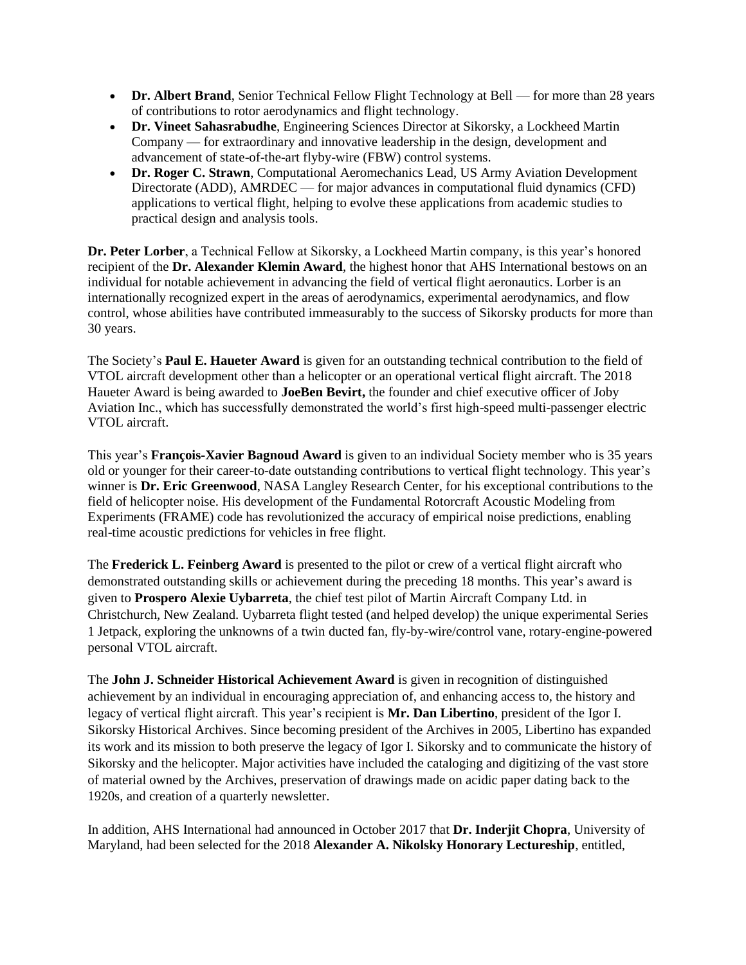- **Dr. Albert Brand**, Senior Technical Fellow Flight Technology at Bell for more than 28 years of contributions to rotor aerodynamics and flight technology.
- **Dr. Vineet Sahasrabudhe**, Engineering Sciences Director at Sikorsky, a Lockheed Martin Company — for extraordinary and innovative leadership in the design, development and advancement of state-of-the-art flyby-wire (FBW) control systems.
- **Dr. Roger C. Strawn**, Computational Aeromechanics Lead, US Army Aviation Development Directorate (ADD), AMRDEC — for major advances in computational fluid dynamics (CFD) applications to vertical flight, helping to evolve these applications from academic studies to practical design and analysis tools.

**Dr. Peter Lorber**, a Technical Fellow at Sikorsky, a Lockheed Martin company, is this year's honored recipient of the **Dr. Alexander Klemin Award**, the highest honor that AHS International bestows on an individual for notable achievement in advancing the field of vertical flight aeronautics. Lorber is an internationally recognized expert in the areas of aerodynamics, experimental aerodynamics, and flow control, whose abilities have contributed immeasurably to the success of Sikorsky products for more than 30 years.

The Society's **Paul E. Haueter Award** is given for an outstanding technical contribution to the field of VTOL aircraft development other than a helicopter or an operational vertical flight aircraft. The 2018 Haueter Award is being awarded to **JoeBen Bevirt,** the founder and chief executive officer of Joby Aviation Inc., which has successfully demonstrated the world's first high-speed multi-passenger electric VTOL aircraft.

This year's **François-Xavier Bagnoud Award** is given to an individual Society member who is 35 years old or younger for their career-to-date outstanding contributions to vertical flight technology. This year's winner is **Dr. Eric Greenwood**, NASA Langley Research Center, for his exceptional contributions to the field of helicopter noise. His development of the Fundamental Rotorcraft Acoustic Modeling from Experiments (FRAME) code has revolutionized the accuracy of empirical noise predictions, enabling real-time acoustic predictions for vehicles in free flight.

The **Frederick L. Feinberg Award** is presented to the pilot or crew of a vertical flight aircraft who demonstrated outstanding skills or achievement during the preceding 18 months. This year's award is given to **Prospero Alexie Uybarreta**, the chief test pilot of Martin Aircraft Company Ltd. in Christchurch, New Zealand. Uybarreta flight tested (and helped develop) the unique experimental Series 1 Jetpack, exploring the unknowns of a twin ducted fan, fly-by-wire/control vane, rotary-engine-powered personal VTOL aircraft.

The **John J. Schneider Historical Achievement Award** is given in recognition of distinguished achievement by an individual in encouraging appreciation of, and enhancing access to, the history and legacy of vertical flight aircraft. This year's recipient is **Mr. Dan Libertino**, president of the Igor I. Sikorsky Historical Archives. Since becoming president of the Archives in 2005, Libertino has expanded its work and its mission to both preserve the legacy of Igor I. Sikorsky and to communicate the history of Sikorsky and the helicopter. Major activities have included the cataloging and digitizing of the vast store of material owned by the Archives, preservation of drawings made on acidic paper dating back to the 1920s, and creation of a quarterly newsletter.

In addition, AHS International had announced in October 2017 that **Dr. Inderjit Chopra**, University of Maryland, had been selected for the 2018 **Alexander A. Nikolsky Honorary Lectureship**, entitled,